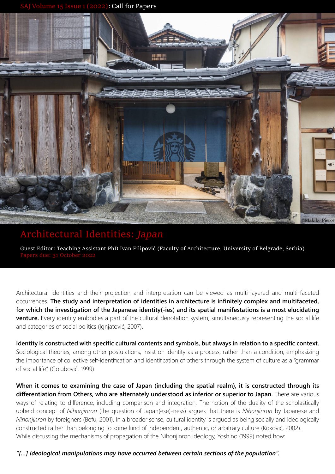**Sall for Papers** 



## **Architectural Identities:** *Japan*

**Guest Editor: Teaching Assistant PhD Ivan Filipović (Faculty of Architecture, University of Belgrade, Serbia)**

Architectural identities and their projection and interpretation can be viewed as multi-layered and multi-faceted occurrences. **The study and interpretation of identities in architecture is infinitely complex and multifaceted, for which the investigation of the Japanese identity(-ies) and its spatial manifestations is a most elucidating venture.** Every identity embodies a part of the cultural denotation system, simultaneously representing the social life and categories of social politics (Ignjatović, 2007).

**Identity is constructed with specific cultural contents and symbols, but always in relation to a specific context.**  Sociological theories, among other postulations, insist on identity as a process, rather than a condition, emphasizing the importance of collective self-identification and identification of others through the system of culture as a "grammar of social life" (Golubović, 1999).

**When it comes to examining the case of Japan (including the spatial realm), it is constructed through its differentiation from Others, who are alternately understood as inferior or superior to Japan.** There are various ways of relating to difference, including comparison and integration. The notion of the duality of the scholastically upheld concept of *Nihonjinron* (the question of Japan(ese)-ness) argues that there is *Nihonjinron* by Japanese and *Nihonjinron* by foreigners (Befu, 2001). In a broader sense, cultural identity is argued as being socially and ideologically constructed rather than belonging to some kind of independent, authentic, or arbitrary culture (Koković, 2002). While discussing the mechanisms of propagation of the Nihonjinron ideology, Yoshino (1999) noted how:

*"[…] ideological manipulations may have occurred between certain sections of the population".*